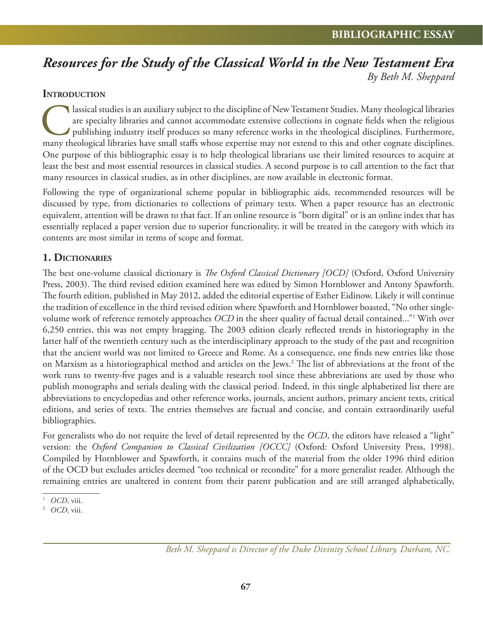# *Resources for the Study of the Classical World in the New Testament Era By Beth M. Sheppard*

#### **INTRODUCTION**

Iassical studies is an auxiliary subject to the discipline of New Testament Studies. Many theological libraries are specialty libraries and cannot accommodate extensive collections in cognate fields when the religious publ are specialty libraries and cannot accommodate extensive collections in cognate fields when the religious publishing industry itself produces so many reference works in the theological disciplines. Furthermore, many theological libraries have small staffs whose expertise may not extend to this and other cognate disciplines. One purpose of this bibliographic essay is to help theological librarians use their limited resources to acquire at least the best and most essential resources in classical studies. A second purpose is to call attention to the fact that many resources in classical studies, as in other disciplines, are now available in electronic format.

Following the type of organizational scheme popular in bibliographic aids, recommended resources will be discussed by type, from dictionaries to collections of primary texts. When a paper resource has an electronic equivalent, attention will be drawn to that fact. If an online resource is "born digital" or is an online index that has essentially replaced a paper version due to superior functionality, it will be treated in the category with which its contents are most similar in terms of scope and format.

#### **1. DICTIONARIES**

The best one-volume classical dictionary is *The Oxford Classical Dictionary [OCD]* (Oxford, Oxford University Press, 2003). The third revised edition examined here was edited by Simon Hornblower and Antony Spawforth. The fourth edition, published in May 2012, added the editorial expertise of Esther Eidinow. Likely it will continue the tradition of excellence in the third revised edition where Spawforth and Hornblower boasted, "No other singlevolume work of reference remotely approaches *OCD* in the sheer quality of factual detail contained..."1 With over 6,250 entries, this was not empty bragging. The 2003 edition clearly reflected trends in historiography in the latter half of the twentieth century such as the interdisciplinary approach to the study of the past and recognition that the ancient world was not limited to Greece and Rome. As a consequence, one finds new entries like those on Marxism as a historiographical method and articles on the Jews.<sup>2</sup> The list of abbreviations at the front of the work runs to twenty-five pages and is a valuable research tool since these abbreviations are used by those who publish monographs and serials dealing with the classical period. Indeed, in this single alphabetized list there are abbreviations to encyclopedias and other reference works, journals, ancient authors, primary ancient texts, critical editions, and series of texts. The entries themselves are factual and concise, and contain extraordinarily useful bibliographies.

For generalists who do not require the level of detail represented by the *OCD*, the editors have released a "light" version: the *Oxford Companion to Classical Civilization [OCCC]* (Oxford: Oxford University Press, 1998). Compiled by Hornblower and Spawforth, it contains much of the material from the older 1996 third edition of the OCD but excludes articles deemed "too technical or recondite" for a more generalist reader. Although the remaining entries are unaltered in content from their parent publication and are still arranged alphabetically,

*Beth M. Sheppard is Director of the Duke Divinity School Library, Durham, NC.*

<sup>1</sup> *OCD*, viii.

<sup>2</sup> *OCD*, viii.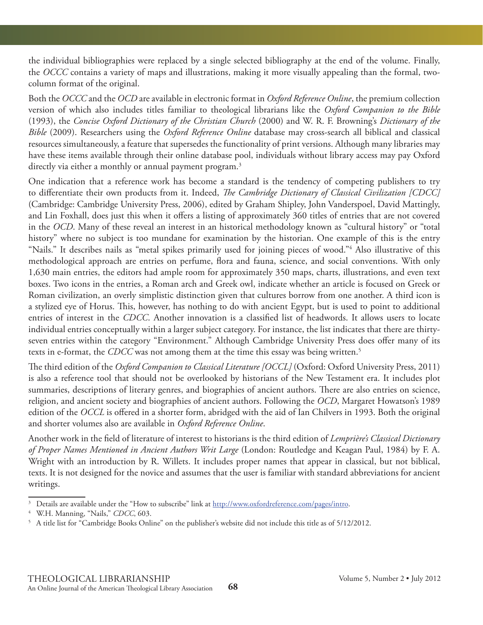the individual bibliographies were replaced by a single selected bibliography at the end of the volume. Finally, the *OCCC* contains a variety of maps and illustrations, making it more visually appealing than the formal, twocolumn format of the original.

Both the *OCCC* and the *OCD* are available in electronic format in *Oxford Reference Online*, the premium collection version of which also includes titles familiar to theological librarians like the *Oxford Companion to the Bible* (1993), the *Concise Oxford Dictionary of the Christian Church* (2000) and W. R. F. Browning's *Dictionary of the Bible* (2009). Researchers using the *Oxford Reference Online* database may cross-search all biblical and classical resources simultaneously, a feature that supersedes the functionality of print versions. Although many libraries may have these items available through their online database pool, individuals without library access may pay Oxford directly via either a monthly or annual payment program.<sup>3</sup>

One indication that a reference work has become a standard is the tendency of competing publishers to try to differentiate their own products from it. Indeed, *The Cambridge Dictionary of Classical Civilization [CDCC]* (Cambridge: Cambridge University Press, 2006), edited by Graham Shipley, John Vanderspoel, David Mattingly, and Lin Foxhall, does just this when it offers a listing of approximately 360 titles of entries that are not covered in the *OCD*. Many of these reveal an interest in an historical methodology known as "cultural history" or "total history" where no subject is too mundane for examination by the historian. One example of this is the entry "Nails." It describes nails as "metal spikes primarily used for joining pieces of wood."4 Also illustrative of this methodological approach are entries on perfume, flora and fauna, science, and social conventions. With only 1,630 main entries, the editors had ample room for approximately 350 maps, charts, illustrations, and even text boxes. Two icons in the entries, a Roman arch and Greek owl, indicate whether an article is focused on Greek or Roman civilization, an overly simplistic distinction given that cultures borrow from one another. A third icon is a stylized eye of Horus. This, however, has nothing to do with ancient Egypt, but is used to point to additional entries of interest in the *CDCC*. Another innovation is a classified list of headwords. It allows users to locate individual entries conceptually within a larger subject category. For instance, the list indicates that there are thirtyseven entries within the category "Environment." Although Cambridge University Press does offer many of its texts in e-format, the *CDCC* was not among them at the time this essay was being written.5

The third edition of the *Oxford Companion to Classical Literature [OCCL]* (Oxford: Oxford University Press, 2011) is also a reference tool that should not be overlooked by historians of the New Testament era. It includes plot summaries, descriptions of literary genres, and biographies of ancient authors. There are also entries on science, religion, and ancient society and biographies of ancient authors. Following the *OCD*, Margaret Howatson's 1989 edition of the *OCCL* is offered in a shorter form, abridged with the aid of Ian Chilvers in 1993. Both the original and shorter volumes also are available in *Oxford Reference Online*.

Another work in the field of literature of interest to historians is the third edition of *Lemprière's Classical Dictionary of Proper Names Mentioned in Ancient Authors Writ Large* (London: Routledge and Keagan Paul, 1984) by F. A. Wright with an introduction by R. Willets. It includes proper names that appear in classical, but not biblical, texts. It is not designed for the novice and assumes that the user is familiar with standard abbreviations for ancient writings.

 $3$  Details are available under the "How to subscribe" link at  $\frac{\text{http://www.oxfordreference.com/pages/intro.}}{\text{WH Manning}}$ 

W.H. Manning, "Nails," *CDCC*, 603.

 $^5\,$  A title list for "Cambridge Books Online" on the publisher's website did not include this title as of 5/12/2012.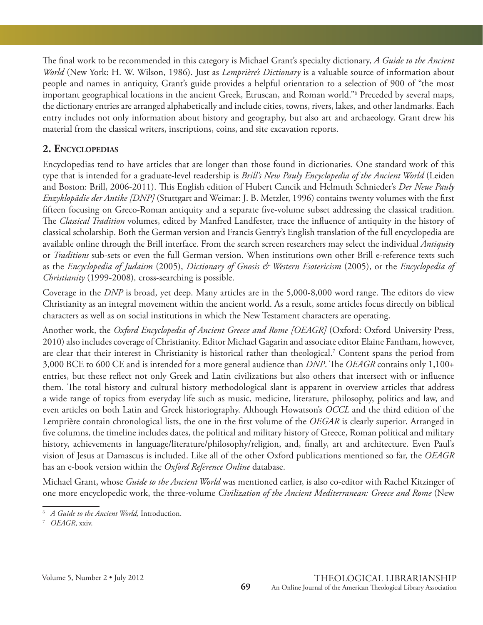The final work to be recommended in this category is Michael Grant's specialty dictionary, *A Guide to the Ancient World* (New York: H. W. Wilson, 1986). Just as *Lemprière's Dictionary* is a valuable source of information about people and names in antiquity, Grant's guide provides a helpful orientation to a selection of 900 of "the most important geographical locations in the ancient Greek, Etruscan, and Roman world."6 Preceded by several maps, the dictionary entries are arranged alphabetically and include cities, towns, rivers, lakes, and other landmarks. Each entry includes not only information about history and geography, but also art and archaeology. Grant drew his material from the classical writers, inscriptions, coins, and site excavation reports.

#### **2. ENCYCLOPEDIAS**

Encyclopedias tend to have articles that are longer than those found in dictionaries. One standard work of this type that is intended for a graduate-level readership is *Brill's New Pauly Encyclopedia of the Ancient World* (Leiden and Boston: Brill, 2006-2011). This English edition of Hubert Cancik and Helmuth Schnieder's *Der Neue Pauly Enzyklopädie der Antike [DNP]* (Stuttgart and Weimar: J. B. Metzler, 1996) contains twenty volumes with the first fifteen focusing on Greco-Roman antiquity and a separate five-volume subset addressing the classical tradition. The *Classical Tradition* volumes, edited by Manfred Landfester, trace the influence of antiquity in the history of classical scholarship. Both the German version and Francis Gentry's English translation of the full encyclopedia are available online through the Brill interface. From the search screen researchers may select the individual *Antiquity* or *Traditions* sub-sets or even the full German version. When institutions own other Brill e-reference texts such as the *Encyclopedia of Judaism* (2005), *Dictionary of Gnosis & Western Esotericism* (2005), or the *Encyclopedia of Christianity* (1999-2008)*,* cross-searching is possible.

Coverage in the *DNP* is broad, yet deep. Many articles are in the 5,000-8,000 word range. The editors do view Christianity as an integral movement within the ancient world. As a result, some articles focus directly on biblical characters as well as on social institutions in which the New Testament characters are operating.

Another work, the *Oxford Encyclopedia of Ancient Greece and Rome [OEAGR]* (Oxford: Oxford University Press, 2010) also includes coverage of Christianity. Editor Michael Gagarin and associate editor Elaine Fantham, however, are clear that their interest in Christianity is historical rather than theological.7 Content spans the period from 3,000 BCE to 600 CE and is intended for a more general audience than *DNP*. The *OEAGR* contains only 1,100+ entries, but these reflect not only Greek and Latin civilizations but also others that intersect with or influence them. The total history and cultural history methodological slant is apparent in overview articles that address a wide range of topics from everyday life such as music, medicine, literature, philosophy, politics and law, and even articles on both Latin and Greek historiography. Although Howatson's *OCCL* and the third edition of the Lemprière contain chronological lists, the one in the first volume of the *OEGAR* is clearly superior. Arranged in five columns, the timeline includes dates, the political and military history of Greece, Roman political and military history, achievements in language/literature/philosophy/religion, and, finally, art and architecture. Even Paul's vision of Jesus at Damascus is included. Like all of the other Oxford publications mentioned so far, the *OEAGR* has an e-book version within the *Oxford Reference Online* database.

Michael Grant, whose *Guide to the Ancient World* was mentioned earlier, is also co-editor with Rachel Kitzinger of one more encyclopedic work, the three-volume *Civilization of the Ancient Mediterranean: Greece and Rome* (New

<sup>6</sup> *A Guide to the Ancient World,* Introduction.

<sup>7</sup> *OEAGR*, xxiv.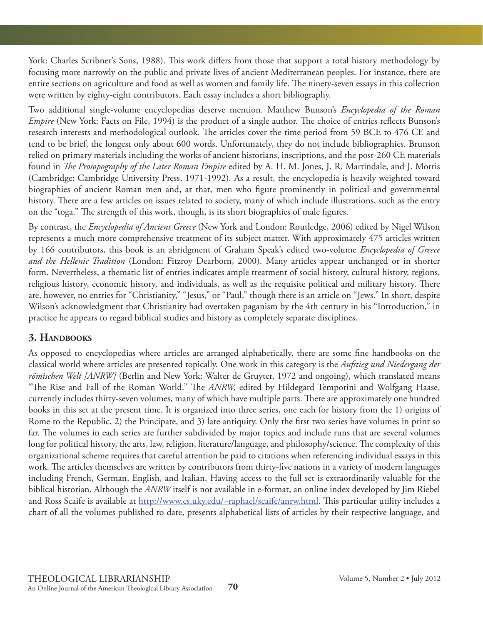York: Charles Scribner's Sons, 1988). This work differs from those that support a total history methodology by focusing more narrowly on the public and private lives of ancient Mediterranean peoples. For instance, there are entire sections on agriculture and food as well as women and family life. The ninety-seven essays in this collection were written by eighty-eight contributors. Each essay includes a short bibliography.

Two additional single-volume encyclopedias deserve mention. Matthew Bunson's *Encyclopedia of the Roman Empire* (New York: Facts on File, 1994) is the product of a single author. The choice of entries reflects Bunson's research interests and methodological outlook. The articles cover the time period from 59 BCE to 476 CE and tend to be brief, the longest only about 600 words. Unfortunately, they do not include bibliographies. Brunson relied on primary materials including the works of ancient historians, inscriptions, and the post-260 CE materials found in *The Prosopography of the Later Roman Empire* edited by A. H. M. Jones, J. R. Martindale, and J. Morris (Cambridge: Cambridge University Press, 1971-1992)*.* As a result, the encyclopedia is heavily weighted toward biographies of ancient Roman men and, at that, men who figure prominently in political and governmental history. There are a few articles on issues related to society, many of which include illustrations, such as the entry on the "toga." The strength of this work, though, is its short biographies of male figures.

By contrast, the *Encyclopedia of Ancient Greece* (New York and London: Routledge, 2006) edited by Nigel Wilson represents a much more comprehensive treatment of its subject matter. With approximately 475 articles written by 166 contributors, this book is an abridgment of Graham Speak's edited two-volume *Encyclopedia of Greece and the Hellenic Tradition* (London: Fitzroy Dearborn, 2000). Many articles appear unchanged or in shorter form. Nevertheless, a thematic list of entries indicates ample treatment of social history, cultural history, regions, religious history, economic history, and individuals, as well as the requisite political and military history. There are, however, no entries for "Christianity," "Jesus," or "Paul," though there is an article on "Jews." In short, despite Wilson's acknowledgment that Christianity had overtaken paganism by the 4th century in his "Introduction," in practice he appears to regard biblical studies and history as completely separate disciplines.

# **3. HANDBOOKS**

As opposed to encyclopedias where articles are arranged alphabetically, there are some fine handbooks on the classical world where articles are presented topically. One work in this category is the *Aufstieg und Niedergang der römischen Welt [ANRW]* (Berlin and New York: Walter de Gruyter, 1972 and ongoing), which translated means "The Rise and Fall of the Roman World." The ANRW, edited by Hildegard Temporini and Wolfgang Haase, currently includes thirty-seven volumes, many of which have multiple parts. There are approximately one hundred books in this set at the present time. It is organized into three series, one each for history from the 1) origins of Rome to the Republic, 2) the Principate, and 3) late antiquity. Only the first two series have volumes in print so far. The volumes in each series are further subdivided by major topics and include runs that are several volumes long for political history, the arts, law, religion, literature/language, and philosophy/science. The complexity of this organizational scheme requires that careful attention be paid to citations when referencing individual essays in this work. The articles themselves are written by contributors from thirty-five nations in a variety of modern languages including French, German, English, and Italian. Having access to the full set is extraordinarily valuable for the biblical historian. Although the *ANRW* itself is not available in e-format, an online index developed by Jim Riebel and Ross Scaife is available at http://www.cs.uky.edu/~raphael/scaife/anrw.html. This particular utility includes a chart of all the volumes published to date, presents alphabetical lists of articles by their respective language, and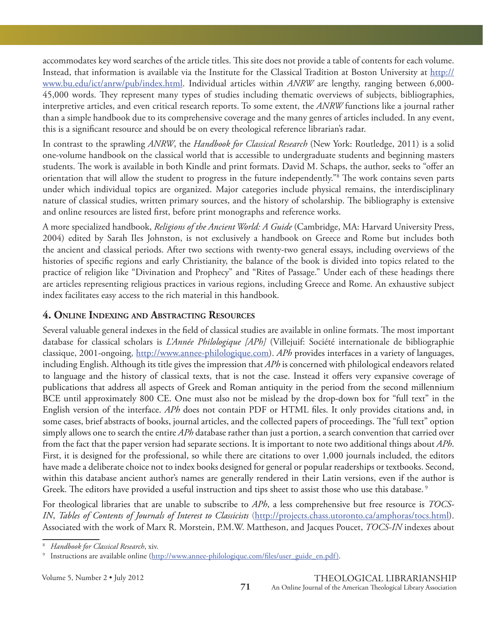accommodates key word searches of the article titles. This site does not provide a table of contents for each volume. Instead, that information is available via the Institute for the Classical Tradition at Boston University at http:// www.bu.edu/ict/anrw/pub/index.html. Individual articles within *ANRW* are lengthy, ranging between 6,000- 45,000 words. They represent many types of studies including thematic overviews of subjects, bibliographies, interpretive articles, and even critical research reports. To some extent, the *ANRW* functions like a journal rather than a simple handbook due to its comprehensive coverage and the many genres of articles included. In any event, this is a significant resource and should be on every theological reference librarian's radar.

In contrast to the sprawling *ANRW*, the *Handbook for Classical Research* (New York: Routledge, 2011) is a solid one-volume handbook on the classical world that is accessible to undergraduate students and beginning masters students. The work is available in both Kindle and print formats. David M. Schaps, the author, seeks to "offer an orientation that will allow the student to progress in the future independently."<sup>8</sup> The work contains seven parts under which individual topics are organized. Major categories include physical remains, the interdisciplinary nature of classical studies, written primary sources, and the history of scholarship. The bibliography is extensive and online resources are listed first, before print monographs and reference works.

A more specialized handbook, *Religions of the Ancient World: A Guide* (Cambridge, MA: Harvard University Press, 2004) edited by Sarah Iles Johnston, is not exclusively a handbook on Greece and Rome but includes both the ancient and classical periods. After two sections with twenty-two general essays, including overviews of the histories of specific regions and early Christianity, the balance of the book is divided into topics related to the practice of religion like "Divination and Prophecy" and "Rites of Passage." Under each of these headings there are articles representing religious practices in various regions, including Greece and Rome. An exhaustive subject index facilitates easy access to the rich material in this handbook.

#### **4. ONLINE INDEXING AND ABSTRACTING RESOURCES**

Several valuable general indexes in the field of classical studies are available in online formats. The most important database for classical scholars is *L'Année Philologique [APh]* (Villejuif: Société internationale de bibliographie classique, 2001-ongoing, http://www.annee-philologique.com). *APh* provides interfaces in a variety of languages, including English. Although its title gives the impression that *APh* is concerned with philological endeavors related to language and the history of classical texts, that is not the case. Instead it offers very expansive coverage of publications that address all aspects of Greek and Roman antiquity in the period from the second millennium BCE until approximately 800 CE. One must also not be mislead by the drop-down box for "full text" in the English version of the interface. *APh* does not contain PDF or HTML files. It only provides citations and, in some cases, brief abstracts of books, journal articles, and the collected papers of proceedings. The "full text" option simply allows one to search the entire *APh* database rather than just a portion, a search convention that carried over from the fact that the paper version had separate sections. It is important to note two additional things about *APh*. First, it is designed for the professional, so while there are citations to over 1,000 journals included, the editors have made a deliberate choice not to index books designed for general or popular readerships or textbooks. Second, within this database ancient author's names are generally rendered in their Latin versions, even if the author is Greek. The editors have provided a useful instruction and tips sheet to assist those who use this database.<sup>9</sup>

For theological libraries that are unable to subscribe to *APh*, a less comprehensive but free resource is *TOCS-IN*, *Tables of Contents of Journals of Interest to Classicists* (http://projects.chass.utoronto.ca/amphoras/tocs.html). Associated with the work of Marx R. Morstein, P.M.W. Mattheson, and Jacques Poucet, *TOCS-IN* indexes about

<sup>8</sup> *Handbook for Classical Research*, xiv.

<sup>9</sup> Instructions are available online (http://www.annee-philologique.com/files/user\_guide\_en.pdf).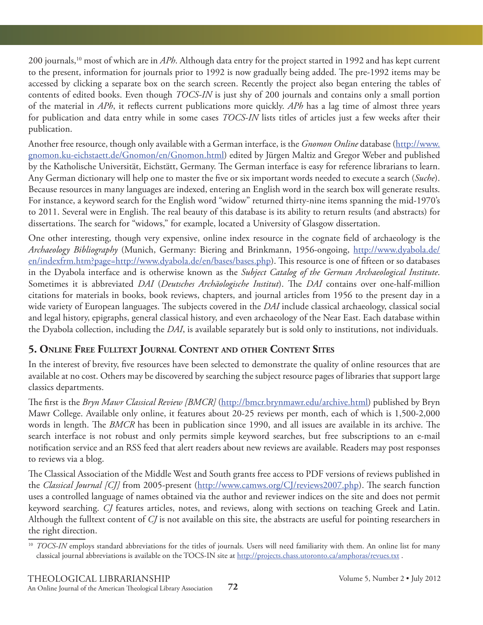200 journals,10 most of which are in *APh*. Although data entry for the project started in 1992 and has kept current to the present, information for journals prior to 1992 is now gradually being added. The pre-1992 items may be accessed by clicking a separate box on the search screen. Recently the project also began entering the tables of contents of edited books. Even though *TOCS-IN* is just shy of 200 journals and contains only a small portion of the material in *APh*, it reflects current publications more quickly. *APh* has a lag time of almost three years for publication and data entry while in some cases *TOCS-IN* lists titles of articles just a few weeks after their publication.

Another free resource, though only available with a German interface, is the *Gnomon Online* database (http://www. gnomon.ku-eichstaett.de/Gnomon/en/Gnomon.html) edited by Jürgen Maltiz and Gregor Weber and published by the Katholische Universität, Eichstätt, Germany. The German interface is easy for reference librarians to learn. Any German dictionary will help one to master the five or six important words needed to execute a search (*Suche*). Because resources in many languages are indexed, entering an English word in the search box will generate results. For instance, a keyword search for the English word "widow" returned thirty-nine items spanning the mid-1970's to 2011. Several were in English. The real beauty of this database is its ability to return results (and abstracts) for dissertations. The search for "widows," for example, located a University of Glasgow dissertation.

One other interesting, though very expensive, online index resource in the cognate field of archaeology is the *Archaeology Bibliography* (Munich, Germany: Biering and Brinkmann, 1956-ongoing, http://www.dyabola.de/ en/indexfrm.htm?page=http://www.dyabola.de/en/bases/bases.php). This resource is one of fifteen or so databases in the Dyabola interface and is otherwise known as the *Subject Catalog of the German Archaeological Institute*. Sometimes it is abbreviated *DAI* (*Deutsches Archäologische Institut*). The *DAI* contains over one-half-million citations for materials in books, book reviews, chapters, and journal articles from 1956 to the present day in a wide variety of European languages. The subjects covered in the *DAI* include classical archaeology, classical social and legal history, epigraphs, general classical history, and even archaeology of the Near East. Each database within the Dyabola collection, including the *DAI*, is available separately but is sold only to institutions, not individuals.

# **5. ONLINE FREE FULLTEXT JOURNAL CONTENT AND OTHER CONTENT SITES**

In the interest of brevity, five resources have been selected to demonstrate the quality of online resources that are available at no cost. Others may be discovered by searching the subject resource pages of libraries that support large classics departments.

The first is the *Bryn Mawr Classical Review [BMCR]* (http://bmcr.brynmawr.edu/archive.html) published by Bryn Mawr College. Available only online, it features about 20-25 reviews per month, each of which is 1,500-2,000 words in length. The *BMCR* has been in publication since 1990, and all issues are available in its archive. The search interface is not robust and only permits simple keyword searches, but free subscriptions to an e-mail notification service and an RSS feed that alert readers about new reviews are available. Readers may post responses to reviews via a blog.

The Classical Association of the Middle West and South grants free access to PDF versions of reviews published in the *Classical Journal [CJ]* from 2005-present (http://www.camws.org/CJ/reviews2007.php). The search function uses a controlled language of names obtained via the author and reviewer indices on the site and does not permit keyword searching. *CJ* features articles, notes, and reviews, along with sections on teaching Greek and Latin. Although the fulltext content of *CJ* is not available on this site, the abstracts are useful for pointing researchers in the right direction.

<sup>&</sup>lt;sup>10</sup> *TOCS-IN* employs standard abbreviations for the titles of journals. Users will need familiarity with them. An online list for many classical journal abbreviations is available on the TOCS-IN site at http://projects.chass.utoronto.ca/amphoras/revues.txt .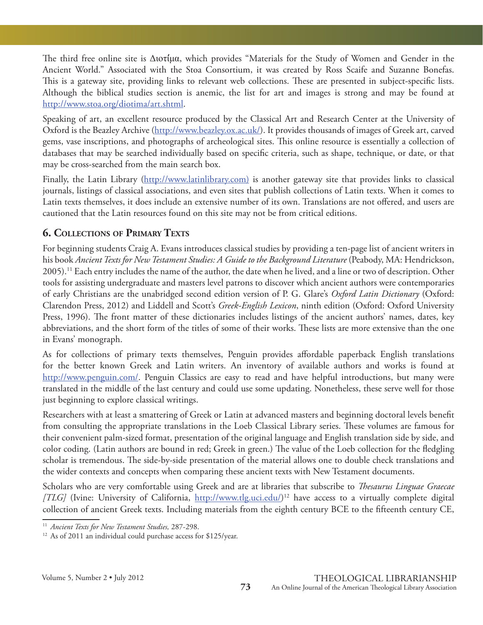The third free online site is Διοτίμα, which provides "Materials for the Study of Women and Gender in the Ancient World." Associated with the Stoa Consortium, it was created by Ross Scaife and Suzanne Bonefas. This is a gateway site, providing links to relevant web collections. These are presented in subject-specific lists. Although the biblical studies section is anemic, the list for art and images is strong and may be found at http://www.stoa.org/diotima/art.shtml.

Speaking of art, an excellent resource produced by the Classical Art and Research Center at the University of Oxford is the Beazley Archive (http://www.beazley.ox.ac.uk/). It provides thousands of images of Greek art, carved gems, vase inscriptions, and photographs of archeological sites. This online resource is essentially a collection of databases that may be searched individually based on specific criteria, such as shape, technique, or date, or that may be cross-searched from the main search box.

Finally, the Latin Library (http://www.latinlibrary.com) is another gateway site that provides links to classical journals, listings of classical associations, and even sites that publish collections of Latin texts. When it comes to Latin texts themselves, it does include an extensive number of its own. Translations are not offered, and users are cautioned that the Latin resources found on this site may not be from critical editions.

# **6. COLLECTIONS OF PRIMARY TEXTS**

For beginning students Craig A. Evans introduces classical studies by providing a ten-page list of ancient writers in his book *Ancient Texts for New Testament Studies: A Guide to the Background Literature* (Peabody, MA: Hendrickson, 2005).11 Each entry includes the name of the author, the date when he lived, and a line or two of description. Other tools for assisting undergraduate and masters level patrons to discover which ancient authors were contemporaries of early Christians are the unabridged second edition version of P. G. Glare's *Oxford Latin Dictionary* (Oxford: Clarendon Press, 2012) and Liddell and Scott's *Greek-English Lexicon*, ninth edition (Oxford: Oxford University Press, 1996). The front matter of these dictionaries includes listings of the ancient authors' names, dates, key abbreviations, and the short form of the titles of some of their works. These lists are more extensive than the one in Evans' monograph.

As for collections of primary texts themselves, Penguin provides affordable paperback English translations for the better known Greek and Latin writers. An inventory of available authors and works is found at http://www.penguin.com/. Penguin Classics are easy to read and have helpful introductions, but many were translated in the middle of the last century and could use some updating. Nonetheless, these serve well for those just beginning to explore classical writings.

Researchers with at least a smattering of Greek or Latin at advanced masters and beginning doctoral levels benefit from consulting the appropriate translations in the Loeb Classical Library series. These volumes are famous for their convenient palm-sized format, presentation of the original language and English translation side by side, and color coding. (Latin authors are bound in red; Greek in green.) The value of the Loeb collection for the fledgling scholar is tremendous. The side-by-side presentation of the material allows one to double check translations and the wider contexts and concepts when comparing these ancient texts with New Testament documents.

Scholars who are very comfortable using Greek and are at libraries that subscribe to *Thesaurus Linguae Graecae* [TLG] (Ivine: University of California, http://www.tlg.uci.edu/)<sup>12</sup> have access to a virtually complete digital collection of ancient Greek texts. Including materials from the eighth century BCE to the fifteenth century CE,

<sup>11</sup> *Ancient Texts for New Testament Studies,* 287-298.

<sup>&</sup>lt;sup>12</sup> As of 2011 an individual could purchase access for \$125/year.